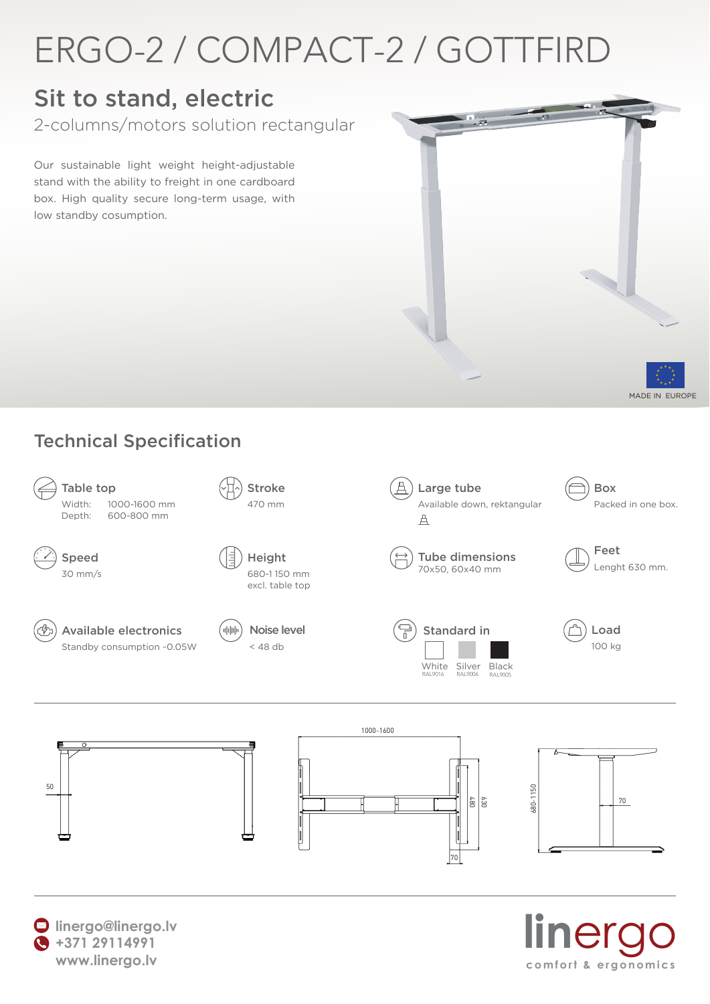## ERGO-2 / COMPACT-2 / GOTTFIRD

### Sit to stand, electric

2-columns/motors solution rectangular

Our sustainable light weight height-adjustable stand with the ability to freight in one cardboard box. High quality secure long-term usage, with low standby cosumption.





#### Technical Specification